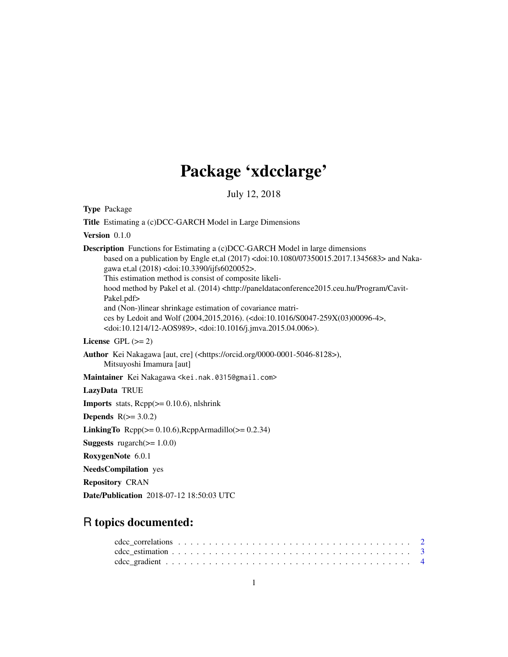# Package 'xdcclarge'

July 12, 2018

Type Package Title Estimating a (c)DCC-GARCH Model in Large Dimensions Version 0.1.0 Description Functions for Estimating a (c)DCC-GARCH Model in large dimensions based on a publication by Engle et,al (2017) <doi:10.1080/07350015.2017.1345683> and Nakagawa et,al (2018) <doi:10.3390/ijfs6020052>. This estimation method is consist of composite likelihood method by Pakel et al. (2014) <http://paneldataconference2015.ceu.hu/Program/Cavit-Pakel.pdf> and (Non-)linear shrinkage estimation of covariance matrices by Ledoit and Wolf (2004,2015,2016). (<doi:10.1016/S0047-259X(03)00096-4>, <doi:10.1214/12-AOS989>, <doi:10.1016/j.jmva.2015.04.006>). License GPL  $(>= 2)$ Author Kei Nakagawa [aut, cre] (<https://orcid.org/0000-0001-5046-8128>), Mitsuyoshi Imamura [aut] Maintainer Kei Nakagawa <kei.nak.0315@gmail.com> LazyData TRUE **Imports** stats,  $Rep(z=0.10.6)$ , nlshrink Depends  $R(>= 3.0.2)$ LinkingTo  $\text{Rcpp}(\geq 0.10.6)$ , $\text{RcppArmadillo}(\geq 0.2.34)$ **Suggests** rugarch( $>= 1.0.0$ ) RoxygenNote 6.0.1 NeedsCompilation yes Repository CRAN Date/Publication 2018-07-12 18:50:03 UTC

# R topics documented: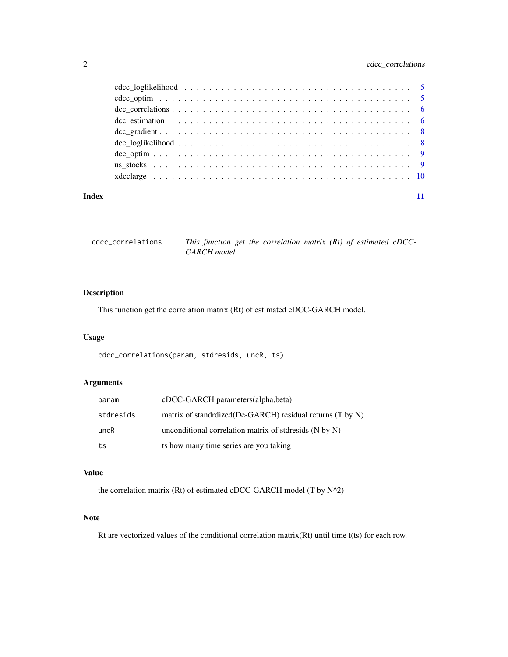# <span id="page-1-0"></span>2 cdcc\_correlations

| Index |  |
|-------|--|

cdcc\_correlations *This function get the correlation matrix (Rt) of estimated cDCC-GARCH model.*

# Description

This function get the correlation matrix (Rt) of estimated cDCC-GARCH model.

# Usage

cdcc\_correlations(param, stdresids, uncR, ts)

# Arguments

| param     | cDCC-GARCH parameters(alpha,beta)                           |
|-----------|-------------------------------------------------------------|
| stdresids | matrix of standrdized (De-GARCH) residual returns (T by N)  |
| uncR      | unconditional correlation matrix of stdresseds $(N$ by $N)$ |
| ts        | ts how many time series are you taking                      |

#### Value

the correlation matrix (Rt) of estimated cDCC-GARCH model (T by N^2)

### Note

Rt are vectorized values of the conditional correlation matrix(Rt) until time t(ts) for each row.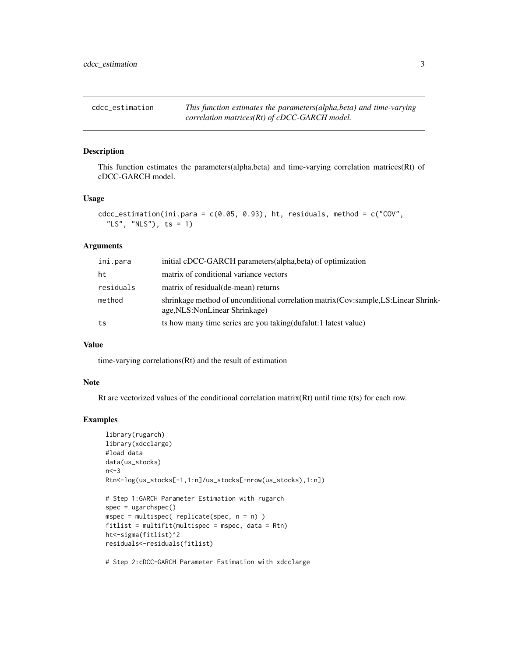<span id="page-2-0"></span>cdcc\_estimation *This function estimates the parameters(alpha,beta) and time-varying correlation matrices(Rt) of cDCC-GARCH model.*

### Description

This function estimates the parameters(alpha,beta) and time-varying correlation matrices(Rt) of cDCC-GARCH model.

#### Usage

```
cdcc\_estimation(int.para = c(0.05, 0.93), ht, residuals, method = c("COV","LS", "NLS"), ts = 1)
```
#### Arguments

| ini.para  | initial cDCC-GARCH parameters(alpha, beta) of optimization                                                             |
|-----------|------------------------------------------------------------------------------------------------------------------------|
| ht        | matrix of conditional variance vectors                                                                                 |
| residuals | matrix of residual (de-mean) returns                                                                                   |
| method    | shrinkage method of unconditional correlation matrix (Cov:sample, LS: Linear Shrink-<br>age, NLS: NonLinear Shrinkage) |
| ts        | ts how many time series are you taking (dufalut: 1 latest value)                                                       |

#### Value

time-varying correlations(Rt) and the result of estimation

#### Note

Rt are vectorized values of the conditional correlation matrix( $Rt$ ) until time t(ts) for each row.

#### Examples

```
library(rugarch)
library(xdcclarge)
#load data
data(us_stocks)
n < -3Rtn<-log(us_stocks[-1,1:n]/us_stocks[-nrow(us_stocks),1:n])
# Step 1:GARCH Parameter Estimation with rugarch
spec = ugarchspec()mspec = multispec( replicate(spec, n = n) )
fittlist = multifit(multispec = mspec, data = Rtn)ht<-sigma(fitlist)^2
residuals<-residuals(fitlist)
# Step 2:cDCC-GARCH Parameter Estimation with xdcclarge
```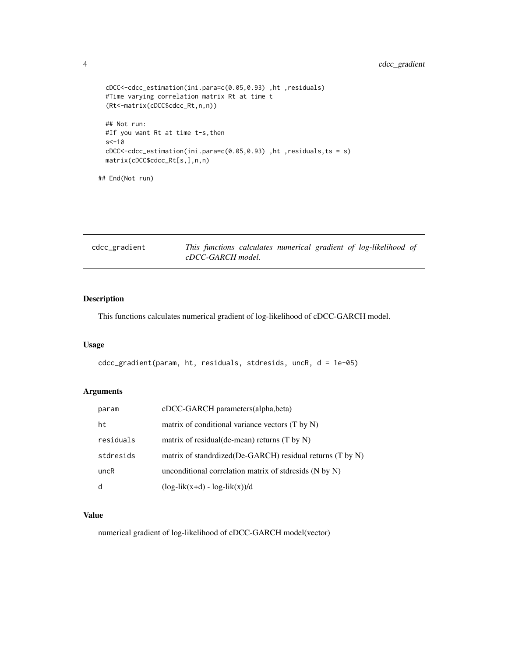### <span id="page-3-0"></span>4 cdcc\_gradient

```
cDCC<-cdcc_estimation(ini.para=c(0.05,0.93) ,ht ,residuals)
#Time varying correlation matrix Rt at time t
(Rt<-matrix(cDCC$cdcc_Rt,n,n))
## Not run:
#If you want Rt at time t-s,then
s < -10cDCC<-cdcc_estimation(ini.para=c(0.05,0.93) ,ht ,residuals,ts = s)
matrix(cDCC$cdcc_Rt[s,],n,n)
```
## End(Not run)

| cdcc_gradient |                   |  |  | This functions calculates numerical gradient of log-likelihood of |  |
|---------------|-------------------|--|--|-------------------------------------------------------------------|--|
|               | cDCC-GARCH model. |  |  |                                                                   |  |

# Description

This functions calculates numerical gradient of log-likelihood of cDCC-GARCH model.

#### Usage

```
cdcc_gradient(param, ht, residuals, stdresids, uncR, d = 1e-05)
```
### Arguments

| param     | cDCC-GARCH parameters(alpha,beta)                          |
|-----------|------------------------------------------------------------|
| ht        | matrix of conditional variance vectors (T by N)            |
| residuals | matrix of residual(de-mean) returns $(T$ by $N$ )          |
| stdresids | matrix of standrdized (De-GARCH) residual returns (T by N) |
| uncR      | unconditional correlation matrix of stdresids $(N by N)$   |
| d         | $(\log -\text{lik}(x+d) - \log -\text{lik}(x))/d$          |

#### Value

numerical gradient of log-likelihood of cDCC-GARCH model(vector)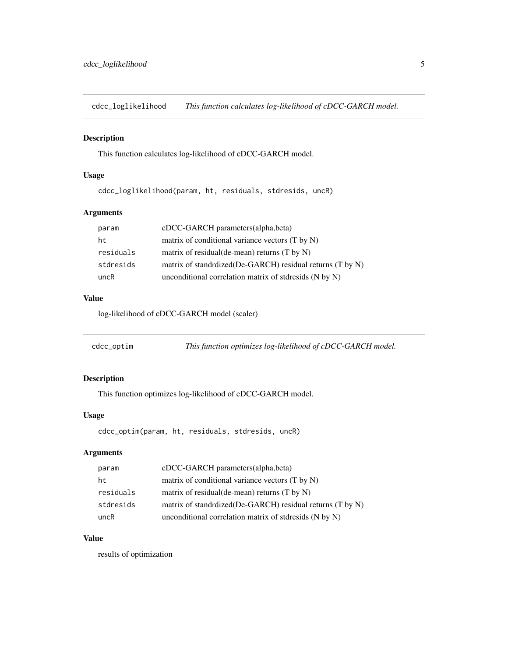<span id="page-4-0"></span>cdcc\_loglikelihood *This function calculates log-likelihood of cDCC-GARCH model.*

#### Description

This function calculates log-likelihood of cDCC-GARCH model.

### Usage

cdcc\_loglikelihood(param, ht, residuals, stdresids, uncR)

### Arguments

| param     | cDCC-GARCH parameters(alpha, beta)                             |
|-----------|----------------------------------------------------------------|
| ht.       | matrix of conditional variance vectors (T by N)                |
| residuals | matrix of residual(de-mean) returns $(T$ by $N$ )              |
| stdresids | matrix of standrdized (De-GARCH) residual returns $(T$ by $N)$ |
| uncR      | unconditional correlation matrix of stdresids (N by N)         |

#### Value

log-likelihood of cDCC-GARCH model (scaler)

| cdcc_optim | This function optimizes log-likelihood of cDCC-GARCH model. |  |
|------------|-------------------------------------------------------------|--|
|            |                                                             |  |

#### Description

This function optimizes log-likelihood of cDCC-GARCH model.

# Usage

```
cdcc_optim(param, ht, residuals, stdresids, uncR)
```
#### Arguments

| param     | cDCC-GARCH parameters (alpha, beta)                        |
|-----------|------------------------------------------------------------|
| ht        | matrix of conditional variance vectors $(T$ by $N)$        |
| residuals | matrix of residual(de-mean) returns $(T$ by $N$ )          |
| stdresids | matrix of standrdized (De-GARCH) residual returns (T by N) |
| uncR      | unconditional correlation matrix of stdresids (N by N)     |

### Value

results of optimization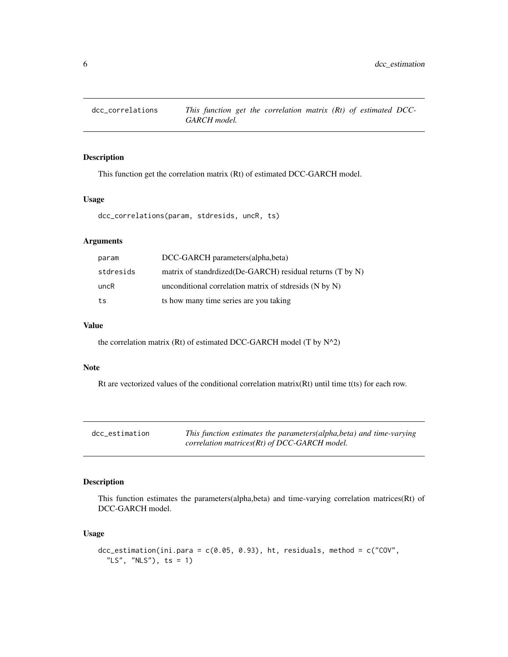<span id="page-5-0"></span>

# Description

This function get the correlation matrix (Rt) of estimated DCC-GARCH model.

#### Usage

dcc\_correlations(param, stdresids, uncR, ts)

# Arguments

| param     | DCC-GARCH parameters (alpha, beta)                          |
|-----------|-------------------------------------------------------------|
| stdresids | matrix of standrdized(De-GARCH) residual returns (T by N)   |
| uncR      | unconditional correlation matrix of stdresseds $(N$ by $N)$ |
| ts        | ts how many time series are you taking                      |

#### Value

the correlation matrix (Rt) of estimated DCC-GARCH model (T by N^2)

#### Note

Rt are vectorized values of the conditional correlation matrix(Rt) until time t(ts) for each row.

| dcc estimation | This function estimates the parameters(alpha, beta) and time-varying |
|----------------|----------------------------------------------------------------------|
|                | correlation matrices( $Rt$ ) of DCC-GARCH model.                     |

### Description

This function estimates the parameters(alpha,beta) and time-varying correlation matrices(Rt) of DCC-GARCH model.

#### Usage

```
dcc_estimation(ini.para = c(0.05, 0.93), ht, residuals, method = c("COV",
  "LS", "NLS"), ts = 1)
```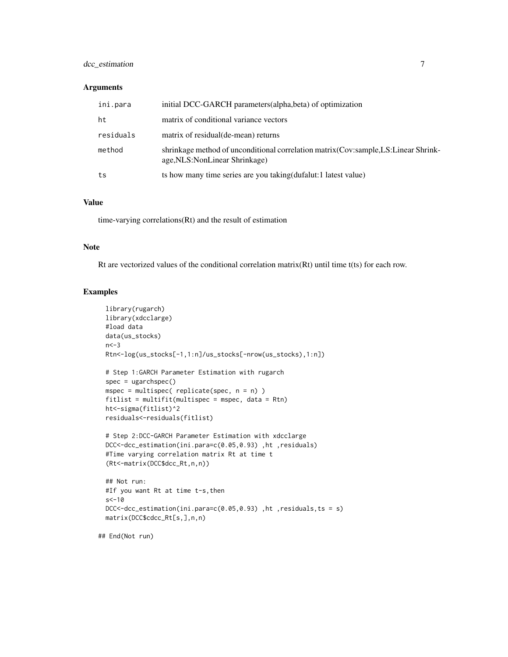#### dcc\_estimation 7

#### Arguments

| ini.para  | initial DCC-GARCH parameters (alpha, beta) of optimization                                                             |
|-----------|------------------------------------------------------------------------------------------------------------------------|
| ht        | matrix of conditional variance vectors                                                                                 |
| residuals | matrix of residual (de-mean) returns                                                                                   |
| method    | shrinkage method of unconditional correlation matrix (Cov:sample, LS: Linear Shrink-<br>age, NLS: NonLinear Shrinkage) |
| ts        | ts how many time series are you taking (dufalut: 1 latest value)                                                       |

#### Value

time-varying correlations(Rt) and the result of estimation

#### Note

Rt are vectorized values of the conditional correlation matrix(Rt) until time t(ts) for each row.

#### Examples

```
library(rugarch)
 library(xdcclarge)
 #load data
 data(us_stocks)
 n < -3Rtn<-log(us_stocks[-1,1:n]/us_stocks[-nrow(us_stocks),1:n])
 # Step 1:GARCH Parameter Estimation with rugarch
 spec = ugarchspec()
 mspec = multispec( replicate(spec, n = n) )
 fitlist = multifit(multispec = mspec, data = Rtn)
 ht<-sigma(fitlist)^2
 residuals<-residuals(fitlist)
 # Step 2:DCC-GARCH Parameter Estimation with xdcclarge
 DCC<-dcc_estimation(ini.para=c(0.05,0.93) ,ht ,residuals)
 #Time varying correlation matrix Rt at time t
 (Rt<-matrix(DCC$dcc_Rt,n,n))
 ## Not run:
 #If you want Rt at time t-s,then
 s < -10DCC<-dcc_estimation(ini.para=c(0.05,0.93) ,ht ,residuals,ts = s)
 matrix(DCC$cdcc_Rt[s,],n,n)
## End(Not run)
```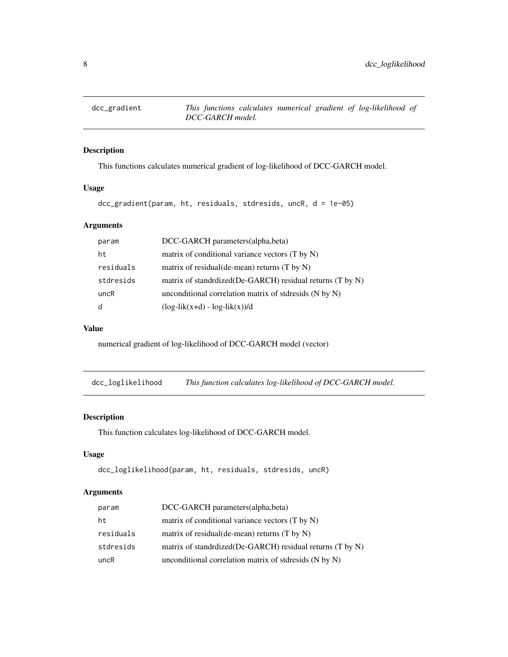<span id="page-7-0"></span>

# Description

This functions calculates numerical gradient of log-likelihood of DCC-GARCH model.

#### Usage

```
dcc_gradient(param, ht, residuals, stdresids, uncR, d = 1e-05)
```
# Arguments

| param     | DCC-GARCH parameters(alpha,beta)                          |
|-----------|-----------------------------------------------------------|
| ht        | matrix of conditional variance vectors (T by N)           |
| residuals | matrix of residual(de-mean) returns $(T$ by $N)$          |
| stdresids | matrix of standrdized(De-GARCH) residual returns (T by N) |
| uncR      | unconditional correlation matrix of stdresids $(N by N)$  |
|           | $(\log-lik(x+d) - log-lik(x))/d$                          |

#### Value

numerical gradient of log-likelihood of DCC-GARCH model (vector)

dcc\_loglikelihood *This function calculates log-likelihood of DCC-GARCH model.*

#### Description

This function calculates log-likelihood of DCC-GARCH model.

#### Usage

```
dcc_loglikelihood(param, ht, residuals, stdresids, uncR)
```
#### Arguments

| param     | DCC-GARCH parameters(alpha, beta)                          |
|-----------|------------------------------------------------------------|
| ht        | matrix of conditional variance vectors (T by N)            |
| residuals | matrix of residual(de-mean) returns $(T$ by $N$ )          |
| stdresids | matrix of standrdized (De-GARCH) residual returns (T by N) |
| uncR      | unconditional correlation matrix of stdresids $(N by N)$   |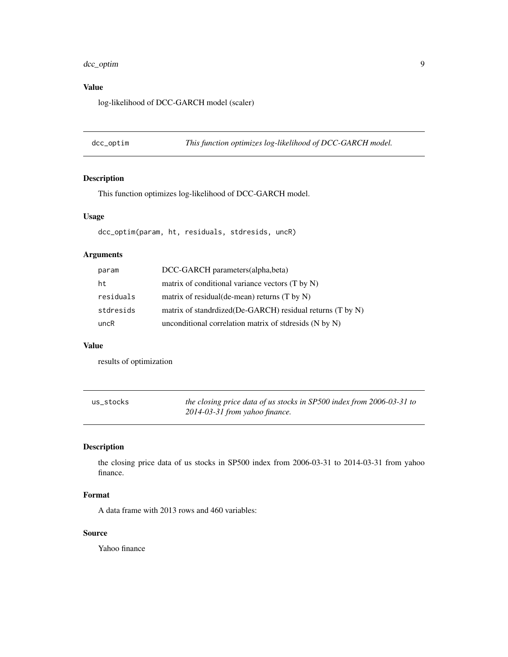# <span id="page-8-0"></span>dcc\_optim 9

# Value

log-likelihood of DCC-GARCH model (scaler)

dcc\_optim *This function optimizes log-likelihood of DCC-GARCH model.*

# Description

This function optimizes log-likelihood of DCC-GARCH model.

### Usage

dcc\_optim(param, ht, residuals, stdresids, uncR)

# Arguments

| param     | DCC-GARCH parameters (alpha, beta)                        |
|-----------|-----------------------------------------------------------|
| ht        | matrix of conditional variance vectors (T by N)           |
| residuals | matrix of residual (de-mean) returns $(T$ by $N)$         |
| stdresids | matrix of standrdized(De-GARCH) residual returns (T by N) |
| uncR      | unconditional correlation matrix of stdresids (N by N)    |

#### Value

results of optimization

| us stocks | the closing price data of us stocks in SP500 index from 2006-03-31 to |
|-----------|-----------------------------------------------------------------------|
|           | 2014-03-31 from yahoo finance.                                        |

# Description

the closing price data of us stocks in SP500 index from 2006-03-31 to 2014-03-31 from yahoo finance.

#### Format

A data frame with 2013 rows and 460 variables:

# Source

Yahoo finance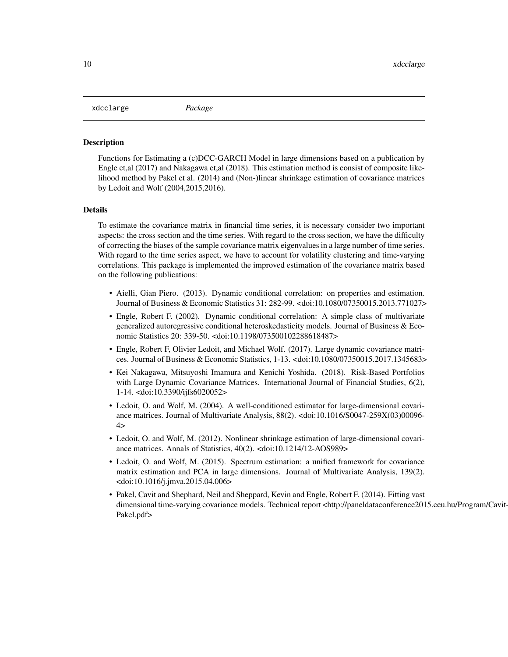#### <span id="page-9-0"></span>xdcclarge *Package*

#### Description

Functions for Estimating a (c)DCC-GARCH Model in large dimensions based on a publication by Engle et,al (2017) and Nakagawa et,al (2018). This estimation method is consist of composite likelihood method by Pakel et al. (2014) and (Non-)linear shrinkage estimation of covariance matrices by Ledoit and Wolf (2004,2015,2016).

#### Details

To estimate the covariance matrix in financial time series, it is necessary consider two important aspects: the cross section and the time series. With regard to the cross section, we have the difficulty of correcting the biases of the sample covariance matrix eigenvalues in a large number of time series. With regard to the time series aspect, we have to account for volatility clustering and time-varying correlations. This package is implemented the improved estimation of the covariance matrix based on the following publications:

- Aielli, Gian Piero. (2013). Dynamic conditional correlation: on properties and estimation. Journal of Business & Economic Statistics 31: 282-99. <doi:10.1080/07350015.2013.771027>
- Engle, Robert F. (2002). Dynamic conditional correlation: A simple class of multivariate generalized autoregressive conditional heteroskedasticity models. Journal of Business & Economic Statistics 20: 339-50. <doi:10.1198/073500102288618487>
- Engle, Robert F, Olivier Ledoit, and Michael Wolf. (2017). Large dynamic covariance matrices. Journal of Business & Economic Statistics, 1-13. <doi:10.1080/07350015.2017.1345683>
- Kei Nakagawa, Mitsuyoshi Imamura and Kenichi Yoshida. (2018). Risk-Based Portfolios with Large Dynamic Covariance Matrices. International Journal of Financial Studies, 6(2), 1-14. <doi:10.3390/ijfs6020052>
- Ledoit, O. and Wolf, M. (2004). A well-conditioned estimator for large-dimensional covariance matrices. Journal of Multivariate Analysis, 88(2). <doi:10.1016/S0047-259X(03)00096-  $4>$
- Ledoit, O. and Wolf, M. (2012). Nonlinear shrinkage estimation of large-dimensional covariance matrices. Annals of Statistics, 40(2). <doi:10.1214/12-AOS989>
- Ledoit, O. and Wolf, M. (2015). Spectrum estimation: a unified framework for covariance matrix estimation and PCA in large dimensions. Journal of Multivariate Analysis, 139(2). <doi:10.1016/j.jmva.2015.04.006>
- Pakel, Cavit and Shephard, Neil and Sheppard, Kevin and Engle, Robert F. (2014). Fitting vast dimensional time-varying covariance models. Technical report <http://paneldataconference2015.ceu.hu/Program/Cavit-Pakel.pdf>